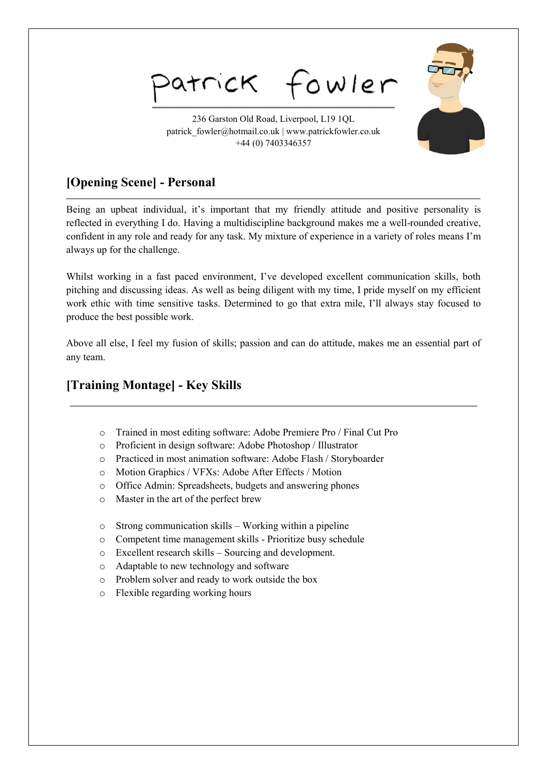atrick fowler

236 Garston Old Road, Liverpool, L19 1QL patrick\_fowler@hotmail.co.uk | www.patrickfowler.co.uk +44 (0) 7403346357

# **[Opening Scene] - Personal**

Being an upbeat individual, it's important that my friendly attitude and positive personality is reflected in everything I do. Having a multidiscipline background makes me a well-rounded creative, confident in any role and ready for any task. My mixture of experience in a variety of roles means I'm always up for the challenge.

Whilst working in a fast paced environment, I've developed excellent communication skills, both pitching and discussing ideas. As well as being diligent with my time, I pride myself on my efficient work ethic with time sensitive tasks. Determined to go that extra mile, I'll always stay focused to produce the best possible work.

Above all else, I feel my fusion of skills; passion and can do attitude, makes me an essential part of any team.

## **[Training Montage] - Key Skills**

- o Trained in most editing software: Adobe Premiere Pro / Final Cut Pro
- o Proficient in design software: Adobe Photoshop / Illustrator
- o Practiced in most animation software: Adobe Flash / Storyboarder
- o Motion Graphics / VFXs: Adobe After Effects / Motion
- o Office Admin: Spreadsheets, budgets and answering phones
- o Master in the art of the perfect brew
- o Strong communication skills Working within a pipeline
- o Competent time management skills Prioritize busy schedule
- o Excellent research skills Sourcing and development.
- o Adaptable to new technology and software
- o Problem solver and ready to work outside the box
- o Flexible regarding working hours